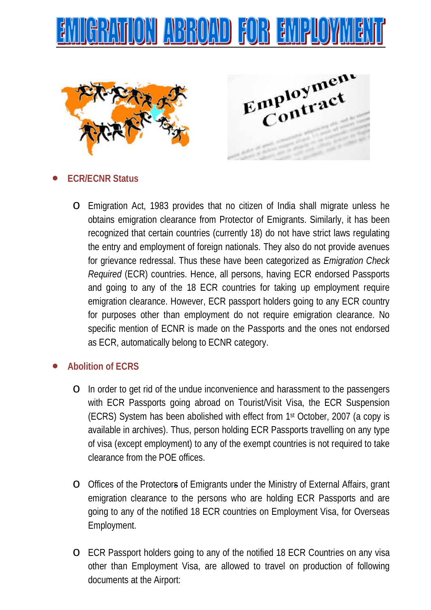





# • **ECR/ECNR Status**

o Emigration Act, 1983 provides that no citizen of India shall migrate unless he obtains emigration clearance from Protector of Emigrants. Similarly, it has been recognized that certain countries (currently 18) do not have strict laws regulating the entry and employment of foreign nationals. They also do not provide avenues for grievance redressal. Thus these have been categorized as *Emigration Check Required* (ECR) countries. Hence, all persons, having ECR endorsed Passports and going to any of the 18 ECR countries for taking up employment require emigration clearance. However, ECR passport holders going to any ECR country for purposes other than employment do not require emigration clearance. No specific mention of ECNR is made on the Passports and the ones not endorsed as ECR, automatically belong to ECNR category.

## • **Abolition of ECRS**

- o In order to get rid of the undue inconvenience and harassment to the passengers with ECR Passports going abroad on Tourist/Visit Visa, the ECR Suspension (ECRS) System has been abolished with effect from 1st October, 2007 (a copy is available in archives). Thus, person holding ECR Passports travelling on any type of visa (except employment) to any of the exempt countries is not required to take clearance from the POE offices.
- o Offices of the Protectors of Emigrants under the Ministry of External Affairs, grant emigration clearance to the persons who are holding ECR Passports and are going to any of the notified 18 ECR countries on Employment Visa, for Overseas Employment.
- o ECR Passport holders going to any of the notified 18 ECR Countries on any visa other than Employment Visa, are allowed to travel on production of following documents at the Airport: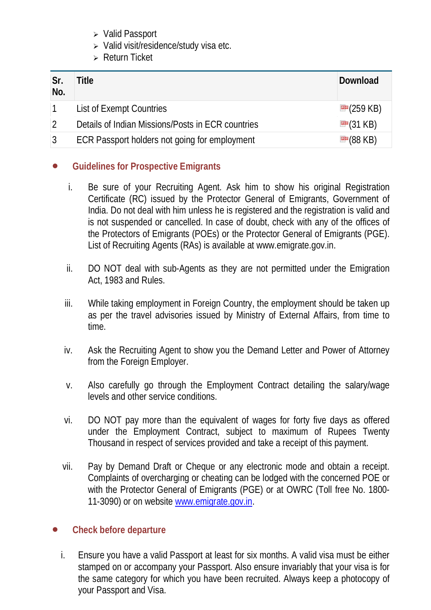- Valid Passport
- $\triangleright$  Valid visit/residence/study visa etc.
- Return Ticket

| Sr.<br>No. | Title                                             | Download                    |
|------------|---------------------------------------------------|-----------------------------|
|            | List of Exempt Countries                          | $\mathbb{P}$ (259 KB)       |
|            | Details of Indian Missions/Posts in ECR countries | $\mathbb{F}(31 \text{ KB})$ |
|            | ECR Passport holders not going for employment     | $\mathbb{P}(88 \text{ KB})$ |

# • **Guidelines for Prospective Emigrants**

- i. Be sure of your Recruiting Agent. Ask him to show his original Registration Certificate (RC) issued by the Protector General of Emigrants, Government of India. Do not deal with him unless he is registered and the registration is valid and is not suspended or cancelled. In case of doubt, check with any of the offices of the Protectors of Emigrants (POEs) or the Protector General of Emigrants (PGE). List of Recruiting Agents (RAs) is available at www.emigrate.gov.in.
- ii. DO NOT deal with sub-Agents as they are not permitted under the Emigration Act, 1983 and Rules.
- iii. While taking employment in Foreign Country, the employment should be taken up as per the travel advisories issued by Ministry of External Affairs, from time to time.
- iv. Ask the Recruiting Agent to show you the Demand Letter and Power of Attorney from the Foreign Employer.
- v. Also carefully go through the Employment Contract detailing the salary/wage levels and other service conditions.
- vi. DO NOT pay more than the equivalent of wages for forty five days as offered under the Employment Contract, subject to maximum of Rupees Twenty Thousand in respect of services provided and take a receipt of this payment.
- vii. Pay by Demand Draft or Cheque or any electronic mode and obtain a receipt. Complaints of overcharging or cheating can be lodged with the concerned POE or with the Protector General of Emigrants (PGE) or at OWRC (Toll free No. 1800- 11-3090) or on website [www.emigrate.gov.in.](http://www.emigrate.gov.in/)

# • **Check before departure**

i. Ensure you have a valid Passport at least for six months. A valid visa must be either stamped on or accompany your Passport. Also ensure invariably that your visa is for the same category for which you have been recruited. Always keep a photocopy of your Passport and Visa.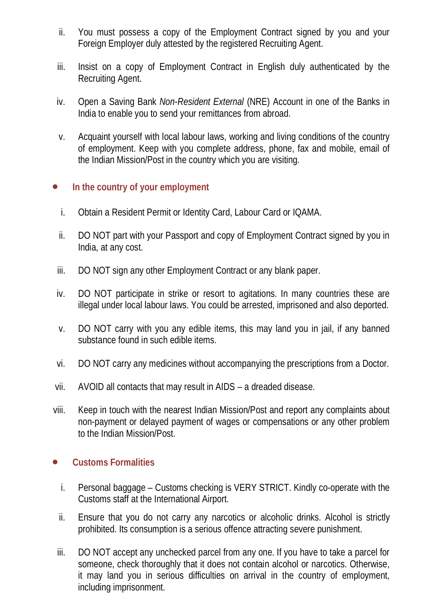- ii. You must possess a copy of the Employment Contract signed by you and your Foreign Employer duly attested by the registered Recruiting Agent.
- iii. Insist on a copy of Employment Contract in English duly authenticated by the Recruiting Agent.
- iv. Open a Saving Bank *Non-Resident External* (NRE) Account in one of the Banks in India to enable you to send your remittances from abroad.
- v. Acquaint yourself with local labour laws, working and living conditions of the country of employment. Keep with you complete address, phone, fax and mobile, email of the Indian Mission/Post in the country which you are visiting.

## • **In the country of your employment**

- i. Obtain a Resident Permit or Identity Card, Labour Card or IQAMA.
- ii. DO NOT part with your Passport and copy of Employment Contract signed by you in India, at any cost.
- iii. DO NOT sign any other Employment Contract or any blank paper.
- iv. DO NOT participate in strike or resort to agitations. In many countries these are illegal under local labour laws. You could be arrested, imprisoned and also deported.
- v. DO NOT carry with you any edible items, this may land you in jail, if any banned substance found in such edible items.
- vi. DO NOT carry any medicines without accompanying the prescriptions from a Doctor.
- vii. AVOID all contacts that may result in AIDS a dreaded disease.
- viii. Keep in touch with the nearest Indian Mission/Post and report any complaints about non-payment or delayed payment of wages or compensations or any other problem to the Indian Mission/Post.

#### • **Customs Formalities**

- i. Personal baggage Customs checking is VERY STRICT. Kindly co-operate with the Customs staff at the International Airport.
- ii. Ensure that you do not carry any narcotics or alcoholic drinks. Alcohol is strictly prohibited. Its consumption is a serious offence attracting severe punishment.
- iii. DO NOT accept any unchecked parcel from any one. If you have to take a parcel for someone, check thoroughly that it does not contain alcohol or narcotics. Otherwise, it may land you in serious difficulties on arrival in the country of employment, including imprisonment.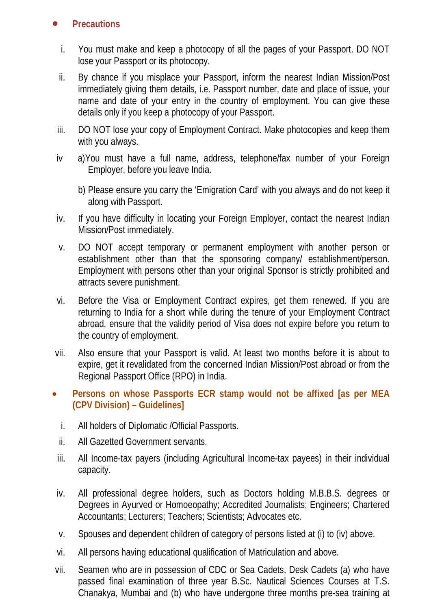## • **Precautions**

- i. You must make and keep a photocopy of all the pages of your Passport. DO NOT lose your Passport or its photocopy.
- ii. By chance if you misplace your Passport, inform the nearest Indian Mission/Post immediately giving them details, i.e. Passport number, date and place of issue, your name and date of your entry in the country of employment. You can give these details only if you keep a photocopy of your Passport.
- iii. DO NOT lose your copy of Employment Contract. Make photocopies and keep them with you always.
- iv a)You must have a full name, address, telephone/fax number of your Foreign Employer, before you leave India.
	- b) Please ensure you carry the 'Emigration Card' with you always and do not keep it along with Passport.
- iv. If you have difficulty in locating your Foreign Employer, contact the nearest Indian Mission/Post immediately.
- v. DO NOT accept temporary or permanent employment with another person or establishment other than that the sponsoring company/ establishment/person. Employment with persons other than your original Sponsor is strictly prohibited and attracts severe punishment.
- vi. Before the Visa or Employment Contract expires, get them renewed. If you are returning to India for a short while during the tenure of your Employment Contract abroad, ensure that the validity period of Visa does not expire before you return to the country of employment.
- vii. Also ensure that your Passport is valid. At least two months before it is about to expire, get it revalidated from the concerned Indian Mission/Post abroad or from the Regional Passport Office (RPO) in India.
- **Persons on whose Passports ECR stamp would not be affixed [as per MEA (CPV Division) – Guidelines]**
	- i. All holders of Diplomatic /Official Passports.
	- ii. All Gazetted Government servants.
- iii. All Income-tax payers (including Agricultural Income-tax payees) in their individual capacity.
- iv. All professional degree holders, such as Doctors holding M.B.B.S. degrees or Degrees in Ayurved or Homoeopathy; Accredited Journalists; Engineers; Chartered Accountants; Lecturers; Teachers; Scientists; Advocates etc.
- v. Spouses and dependent children of category of persons listed at (i) to (iv) above.
- vi. All persons having educational qualification of Matriculation and above.
- vii. Seamen who are in possession of CDC or Sea Cadets, Desk Cadets (a) who have passed final examination of three year B.Sc. Nautical Sciences Courses at T.S. Chanakya, Mumbai and (b) who have undergone three months pre-sea training at